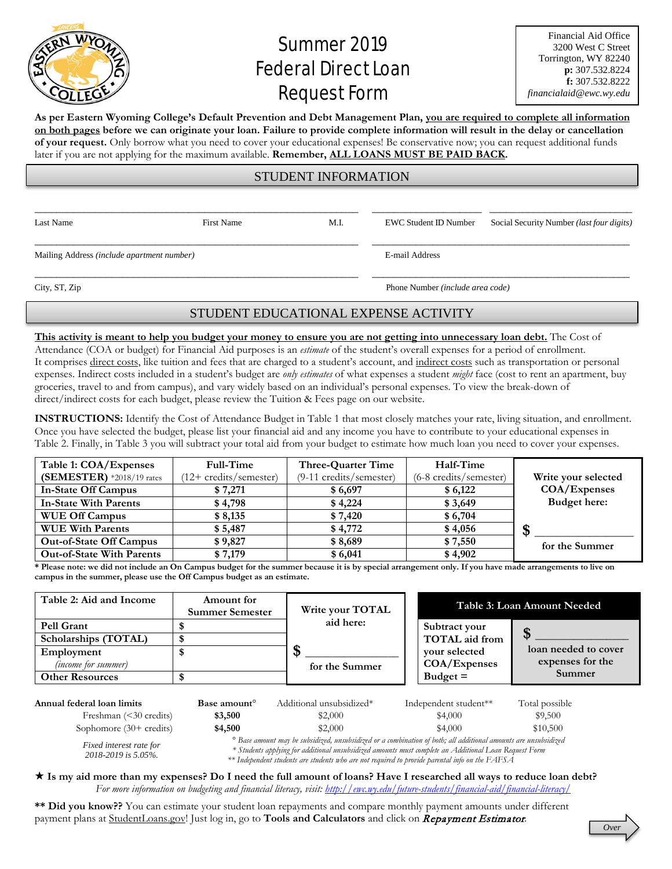

## Summer 2019 **Federal Direct Loan** Request Form

**As per Eastern Wyoming College's Default Prevention and Debt Management Plan, you are required to complete all information on both pages before we can originate your loan. Failure to provide complete information will result in the delay or cancellation of your request.** Only borrow what you need to cover your educational expenses! Be conservative now; you can request additional funds later if you are not applying for the maximum available. **Remember, ALL LOANS MUST BE PAID BACK.**

## STUDENT INFORMATION

\_\_\_\_\_\_\_\_\_\_\_\_\_\_\_\_\_\_\_\_\_\_\_\_\_\_\_\_\_\_\_\_\_\_\_\_\_\_\_\_\_\_\_\_\_\_\_\_\_\_\_\_\_\_\_\_\_\_\_ \_\_\_\_\_\_\_\_\_\_\_\_\_\_\_\_\_\_\_\_\_\_\_\_\_\_\_\_\_\_\_\_\_\_\_\_\_\_\_\_\_\_\_\_\_\_\_

\_\_\_\_\_\_\_\_\_\_\_\_\_\_\_\_\_\_\_\_\_\_\_\_\_\_\_\_\_\_\_\_\_\_\_\_\_\_\_\_\_\_\_\_\_\_\_\_\_\_\_\_\_\_\_\_\_\_\_ \_\_\_\_\_\_\_\_\_\_\_\_\_\_\_\_\_\_\_\_\_\_\_\_\_\_\_\_\_\_\_\_\_\_\_\_\_\_\_\_\_\_\_\_\_\_\_

Last Name First Name First Name M.I. EWC Student ID Number Social Security Number *(last four digits)* 

\_\_\_\_\_\_\_\_\_\_\_\_\_\_\_\_\_\_\_\_\_\_\_\_\_\_\_\_\_\_\_\_\_\_\_\_\_\_\_\_\_\_\_\_\_\_\_\_\_\_\_\_\_\_\_\_\_\_\_ \_\_\_\_\_\_\_\_\_\_\_\_\_\_\_\_\_\_\_\_ \_\_\_\_\_\_\_\_\_\_\_\_\_\_\_\_\_\_\_\_\_\_\_\_\_\_

Mailing Address *(include apartment number)* E-mail Address

*2018-2019 is 5.05%.*

City, ST, Zip Phone Number *(include area code)*

## STUDENT EDUCATIONAL EXPENSE ACTIVITY

**This activity is meant to help you budget your money to ensure you are not getting into unnecessary loan debt.** The Cost of Attendance (COA or budget) for Financial Aid purposes is an *estimate* of the student's overall expenses for a period of enrollment. It comprises direct costs, like tuition and fees that are charged to a student's account, and indirect costs such as transportation or personal expenses. Indirect costs included in a student's budget are *only estimates* of what expenses a student *might* face (cost to rent an apartment, buy groceries, travel to and from campus), and vary widely based on an individual's personal expenses. To view the break-down of direct/indirect costs for each budget, please review the Tuition & Fees page on our website.

**INSTRUCTIONS:** Identify the Cost of Attendance Budget in Table 1 that most closely matches your rate, living situation, and enrollment. Once you have selected the budget, please list your financial aid and any income you have to contribute to your educational expenses in Table 2. Finally, in Table 3 you will subtract your total aid from your budget to estimate how much loan you need to cover your expenses.

| Table 1: COA/Expenses            | Full-Time              | Three-Quarter Time      | Half-Time                        |                     |
|----------------------------------|------------------------|-------------------------|----------------------------------|---------------------|
| $(SEMESTER)$ *2018/19 rates      | (12+ credits/semester) | (9-11 credits/semester) | $(6-8 \text{ credits/semester})$ | Write your selected |
| <b>In-State Off Campus</b>       | \$7,271                | \$6,697                 | \$6,122                          | COA/Expenses        |
| <b>In-State With Parents</b>     | \$4,798                | \$4,224                 | \$3,649                          | Budget here:        |
| <b>WUE Off Campus</b>            | \$8,135                | \$7,420                 | \$6,704                          |                     |
| <b>WUE With Parents</b>          | \$5,487                | \$4,772                 | \$4,056                          | \$                  |
| <b>Out-of-State Off Campus</b>   | \$9,827                | \$8,689                 | \$7,550                          | for the Summer      |
| <b>Out-of-State With Parents</b> | \$7,179                | \$6,041                 | \$4,902                          |                     |

**\* Please note: we did not include an On Campus budget for the summer because it is by special arrangement only. If you have made arrangements to live on campus in the summer, please use the Off Campus budget as an estimate.** 

| Table 2: Aid and Income                              | Amount for<br><b>Summer Semester</b> | Write your TOTAL                                                                                                                                                                                                                |                                        | Table 3: Loan Amount Needed              |  |
|------------------------------------------------------|--------------------------------------|---------------------------------------------------------------------------------------------------------------------------------------------------------------------------------------------------------------------------------|----------------------------------------|------------------------------------------|--|
| <b>Pell Grant</b><br>Scholarships (TOTAL)            |                                      | aid here:                                                                                                                                                                                                                       | Subtract your<br><b>TOTAL</b> aid from | S                                        |  |
| Employment<br><i>(income for summer)</i>             |                                      |                                                                                                                                                                                                                                 | your selected<br>COA/Express           | loan needed to cover<br>expenses for the |  |
| <b>Other Resources</b>                               |                                      |                                                                                                                                                                                                                                 | $Budge t =$                            | Summer                                   |  |
| Annual federal loan limits<br>Freshman (<30 credits) | Base amount <sup>o</sup><br>\$3,500  | Additional unsubsidized*<br>\$2,000                                                                                                                                                                                             | Independent student**<br>\$4,000       | Total possible<br>\$9,500                |  |
| Sophomore $(30 + \text{credits})$                    | \$4,500                              | \$2,000                                                                                                                                                                                                                         | \$4,000                                | \$10,500                                 |  |
| Fixed interest rate for                              |                                      | Base amount may be subsidized, unsubsidized or a combination of both; all additional amounts are unsubsidized<br>really a state of the state of the state of the state of the state of the state of the state of the state of t |                                        |                                          |  |

*\* Students applying for additional unsubsidized amounts must complete an Additional Loan Request Form*

*\*\* Independent students are students who are not required to provide parental info on the FAFSA*

 **Is my aid more than my expenses? Do I need the full amount of loans? Have I researched all ways to reduce loan debt?** *For more information on budgeting and financial literacy, visit:<http://ewc.wy.edu/future-students/financial-aid/financial-literacy/>*

**\*\* Did you know??** You can estimate your student loan repayments and compare monthly payment amounts under different payment plans at StudentLoans.gov! Just log in, go to **Tools and Calculators** and click on Repayment Estimator.